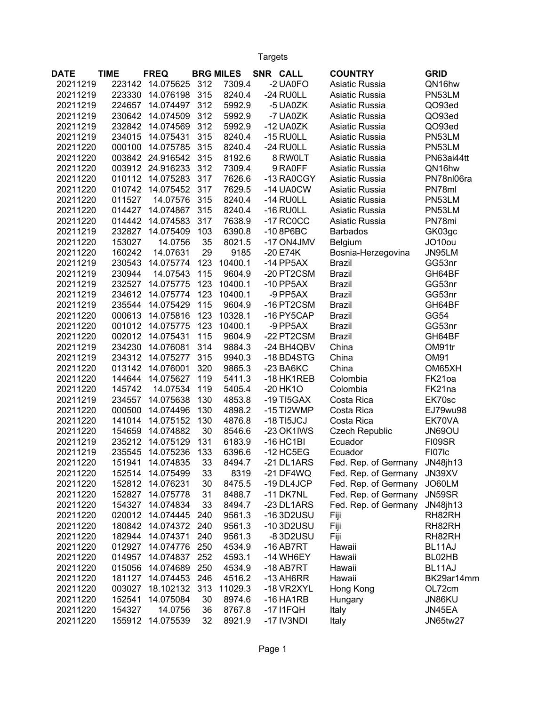Targets

| <b>DATE</b> | <b>TIME</b> | <b>FREQ</b> |     | <b>BRG MILES</b> | SNR CALL     | <b>COUNTRY</b>        | <b>GRID</b>     |
|-------------|-------------|-------------|-----|------------------|--------------|-----------------------|-----------------|
| 20211219    | 223142      | 14.075625   | 312 | 7309.4           | -2 UA0FO     | Asiatic Russia        | QN16hw          |
| 20211219    | 223330      | 14.076198   | 315 | 8240.4           | -24 RUOLL    | Asiatic Russia        | PN53LM          |
| 20211219    | 224657      | 14.074497   | 312 | 5992.9           | -5 UA0ZK     | Asiatic Russia        | QO93ed          |
| 20211219    | 230642      | 14.074509   | 312 | 5992.9           | -7 UA0ZK     | Asiatic Russia        | QO93ed          |
| 20211219    | 232842      | 14.074569   | 312 | 5992.9           | $-12$ UA0ZK  | Asiatic Russia        | QO93ed          |
| 20211219    | 234015      | 14.075431   | 315 | 8240.4           | $-15$ RU0LL  | Asiatic Russia        | PN53LM          |
| 20211220    | 000100      | 14.075785   | 315 | 8240.4           | -24 RUOLL    | Asiatic Russia        | PN53LM          |
| 20211220    | 003842      | 24.916542   | 315 | 8192.6           | 8 RW0LT      | Asiatic Russia        | PN63ai44tt      |
| 20211220    | 003912      | 24.916233   | 312 | 7309.4           | 9 RA0FF      | Asiatic Russia        | QN16hw          |
| 20211220    | 010112      | 14.075283   | 317 | 7626.6           | -13 RA0CGY   | Asiatic Russia        | PN78nl06ra      |
| 20211220    | 010742      | 14.075452   | 317 | 7629.5           | -14 UA0CW    | Asiatic Russia        | PN78ml          |
| 20211220    | 011527      | 14.07576    | 315 | 8240.4           | $-14$ RU0LL  | Asiatic Russia        | PN53LM          |
| 20211220    | 014427      | 14.074867   | 315 | 8240.4           | $-16$ RU0LL  | Asiatic Russia        | PN53LM          |
| 20211220    | 014442      | 14.074583   | 317 | 7638.9           | $-17$ RC0CC  | Asiatic Russia        | PN78mi          |
| 20211219    | 232827      | 14.075409   | 103 | 6390.8           | $-108P6BC$   | <b>Barbados</b>       | GK03gc          |
| 20211220    | 153027      | 14.0756     | 35  | 8021.5           | -17 ON4JMV   | Belgium               | JO10ou          |
| 20211220    | 160242      | 14.07631    | 29  | 9185             | $-20E74K$    | Bosnia-Herzegovina    | JN95LM          |
| 20211219    | 230543      | 14.075774   | 123 | 10400.1          | $-14$ PP5AX  | <b>Brazil</b>         | GG53nr          |
| 20211219    | 230944      | 14.07543    | 115 | 9604.9           | -20 PT2CSM   | <b>Brazil</b>         | GH64BF          |
| 20211219    | 232527      | 14.075775   | 123 | 10400.1          | $-10$ PP5AX  | <b>Brazil</b>         | GG53nr          |
| 20211219    | 234612      | 14.075774   | 123 | 10400.1          | $-9$ PP5AX   | <b>Brazil</b>         | GG53nr          |
| 20211219    | 235544      | 14.075429   | 115 | 9604.9           | -16 PT2CSM   | <b>Brazil</b>         | GH64BF          |
| 20211220    | 000613      | 14.075816   | 123 | 10328.1          | -16 PY5CAP   | <b>Brazil</b>         | GG54            |
| 20211220    | 001012      | 14.075775   | 123 | 10400.1          | $-9$ PP5AX   | <b>Brazil</b>         | GG53nr          |
| 20211220    | 002012      | 14.075431   | 115 | 9604.9           | -22 PT2CSM   | <b>Brazil</b>         | GH64BF          |
| 20211219    | 234230      | 14.076081   | 314 | 9884.3           | -24 BH4QBV   | China                 | OM91tr          |
| 20211219    | 234312      | 14.075277   | 315 | 9940.3           | -18 BD4STG   | China                 | <b>OM91</b>     |
| 20211220    | 013142      | 14.076001   | 320 | 9865.3           | $-23$ BA6KC  | China                 | OM65XH          |
| 20211220    | 144644      | 14.075627   | 119 | 5411.3           | -18 HK1REB   | Colombia              | FK21oa          |
| 20211220    | 145742      | 14.07534    | 119 | 5405.4           | $-20$ HK1O   | Colombia              | FK21na          |
| 20211219    | 234557      | 14.075638   | 130 | 4853.8           | $-19$ TI5GAX | Costa Rica            | EK70sc          |
| 20211220    | 000500      | 14.074496   | 130 | 4898.2           | -15 TI2WMP   | Costa Rica            | EJ79wu98        |
| 20211220    | 141014      | 14.075152   | 130 | 4876.8           | $-18$ TI5JCJ | Costa Rica            | EK70VA          |
| 20211220    | 154659      | 14.074882   | 30  | 8546.6           | -23 OK1IWS   | <b>Czech Republic</b> | <b>JN69OU</b>   |
| 20211219    | 235212      | 14.075129   | 131 | 6183.9           | $-16$ HC1BI  | Ecuador               | FI09SR          |
| 20211219    | 235545      | 14.075236   | 133 | 6396.6           | $-12$ HC5EG  | Ecuador               | FI07Ic          |
| 20211220    | 151941      | 14.074835   | 33  | 8494.7           | -21 DL1ARS   | Fed. Rep. of Germany  | JN48jh13        |
| 20211220    | 152514      | 14.075499   | 33  | 8319             | $-21$ DF4WQ  | Fed. Rep. of Germany  | JN39XV          |
| 20211220    | 152812      | 14.076231   | 30  | 8475.5           | -19 DL4JCP   | Fed. Rep. of Germany  | JO60LM          |
| 20211220    | 152827      | 14.075778   | 31  | 8488.7           | $-11$ DK7NL  | Fed. Rep. of Germany  | JN59SR          |
| 20211220    | 154327      | 14.074834   | 33  | 8494.7           | -23 DL1ARS   | Fed. Rep. of Germany  | JN48jh13        |
| 20211220    | 020012      | 14.074445   | 240 | 9561.3           | -163D2USU    | Fiji                  | RH82RH          |
| 20211220    | 180842      | 14.074372   | 240 | 9561.3           | -103D2USU    | Fiji                  | RH82RH          |
| 20211220    | 182944      | 14.074371   | 240 | 9561.3           | -83D2USU     | Fiji                  | RH82RH          |
| 20211220    | 012927      | 14.074776   | 250 | 4534.9           | $-16$ AB7RT  | Hawaii                | BL11AJ          |
| 20211220    | 014957      | 14.074837   | 252 | 4593.1           | -14 WH6EY    | Hawaii                | BL02HB          |
| 20211220    | 015056      | 14.074689   | 250 | 4534.9           | $-18$ AB7RT  | Hawaii                | BL11AJ          |
| 20211220    | 181127      | 14.074453   | 246 | 4516.2           | $-13$ AH6RR  | Hawaii                | BK29ar14mm      |
| 20211220    | 003027      | 18.102132   | 313 | 11029.3          | -18 VR2XYL   | Hong Kong             | OL72cm          |
| 20211220    | 152541      | 14.075084   | 30  | 8974.6           | $-16$ HA1RB  | Hungary               | JN86KU          |
| 20211220    | 154327      | 14.0756     | 36  | 8767.8           | $-17$ I1FQH  | Italy                 | JN45EA          |
| 20211220    | 155912      | 14.075539   | 32  | 8921.9           | -17 IV3NDI   | Italy                 | <b>JN65tw27</b> |